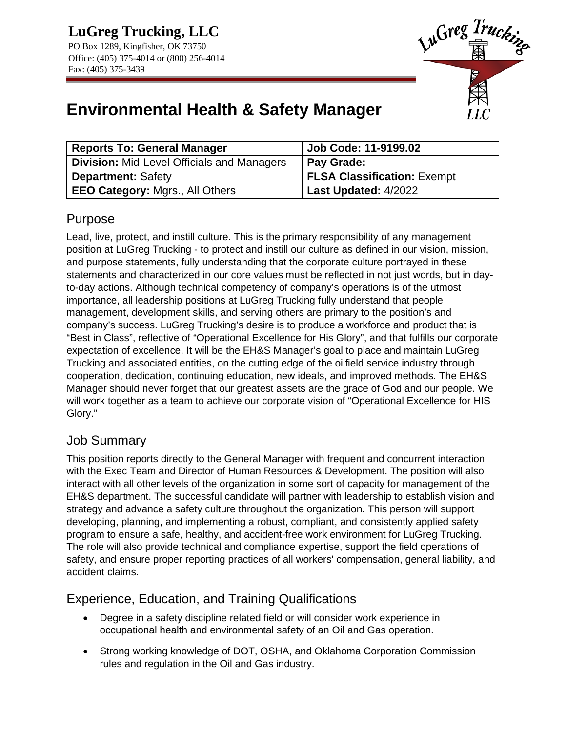

# **Environmental Health & Safety Manager**

| <b>Reports To: General Manager</b>                | Job Code: 11-9199.02               |
|---------------------------------------------------|------------------------------------|
| <b>Division: Mid-Level Officials and Managers</b> | <b>Pay Grade:</b>                  |
| <b>Department: Safety</b>                         | <b>FLSA Classification: Exempt</b> |
| <b>EEO Category: Mgrs., All Others</b>            | Last Updated: 4/2022               |

## Purpose

Lead, live, protect, and instill culture. This is the primary responsibility of any management position at LuGreg Trucking - to protect and instill our culture as defined in our vision, mission, and purpose statements, fully understanding that the corporate culture portrayed in these statements and characterized in our core values must be reflected in not just words, but in dayto-day actions. Although technical competency of company's operations is of the utmost importance, all leadership positions at LuGreg Trucking fully understand that people management, development skills, and serving others are primary to the position's and company's success. LuGreg Trucking's desire is to produce a workforce and product that is "Best in Class", reflective of "Operational Excellence for His Glory", and that fulfills our corporate expectation of excellence. It will be the EH&S Manager's goal to place and maintain LuGreg Trucking and associated entities, on the cutting edge of the oilfield service industry through cooperation, dedication, continuing education, new ideals, and improved methods. The EH&S Manager should never forget that our greatest assets are the grace of God and our people. We will work together as a team to achieve our corporate vision of "Operational Excellence for HIS Glory."

### Job Summary

This position reports directly to the General Manager with frequent and concurrent interaction with the Exec Team and Director of Human Resources & Development. The position will also interact with all other levels of the organization in some sort of capacity for management of the EH&S department. The successful candidate will partner with leadership to establish vision and strategy and advance a safety culture throughout the organization. This person will support developing, planning, and implementing a robust, compliant, and consistently applied safety program to ensure a safe, healthy, and accident-free work environment for LuGreg Trucking. The role will also provide technical and compliance expertise, support the field operations of safety, and ensure proper reporting practices of all workers' compensation, general liability, and accident claims.

### Experience, Education, and Training Qualifications

- Degree in a safety discipline related field or will consider work experience in occupational health and environmental safety of an Oil and Gas operation.
- Strong working knowledge of DOT, OSHA, and Oklahoma Corporation Commission rules and regulation in the Oil and Gas industry.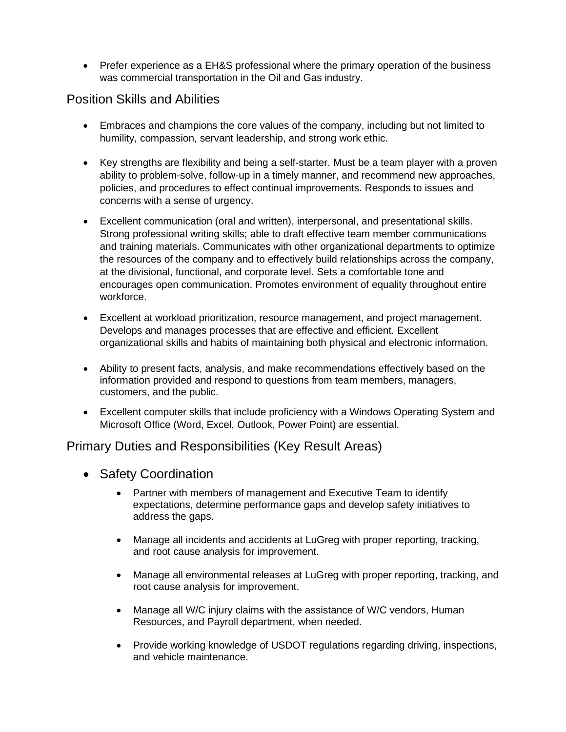• Prefer experience as a EH&S professional where the primary operation of the business was commercial transportation in the Oil and Gas industry.

#### Position Skills and Abilities

- Embraces and champions the core values of the company, including but not limited to humility, compassion, servant leadership, and strong work ethic.
- Key strengths are flexibility and being a self-starter. Must be a team player with a proven ability to problem-solve, follow-up in a timely manner, and recommend new approaches, policies, and procedures to effect continual improvements. Responds to issues and concerns with a sense of urgency.
- Excellent communication (oral and written), interpersonal, and presentational skills. Strong professional writing skills; able to draft effective team member communications and training materials. Communicates with other organizational departments to optimize the resources of the company and to effectively build relationships across the company, at the divisional, functional, and corporate level. Sets a comfortable tone and encourages open communication. Promotes environment of equality throughout entire workforce.
- Excellent at workload prioritization, resource management, and project management. Develops and manages processes that are effective and efficient. Excellent organizational skills and habits of maintaining both physical and electronic information.
- Ability to present facts, analysis, and make recommendations effectively based on the information provided and respond to questions from team members, managers, customers, and the public.
- Excellent computer skills that include proficiency with a Windows Operating System and Microsoft Office (Word, Excel, Outlook, Power Point) are essential.

### Primary Duties and Responsibilities (Key Result Areas)

- Safety Coordination
	- Partner with members of management and Executive Team to identify expectations, determine performance gaps and develop safety initiatives to address the gaps.
	- Manage all incidents and accidents at LuGreg with proper reporting, tracking, and root cause analysis for improvement.
	- Manage all environmental releases at LuGreg with proper reporting, tracking, and root cause analysis for improvement.
	- Manage all W/C injury claims with the assistance of W/C vendors, Human Resources, and Payroll department, when needed.
	- Provide working knowledge of USDOT regulations regarding driving, inspections, and vehicle maintenance.